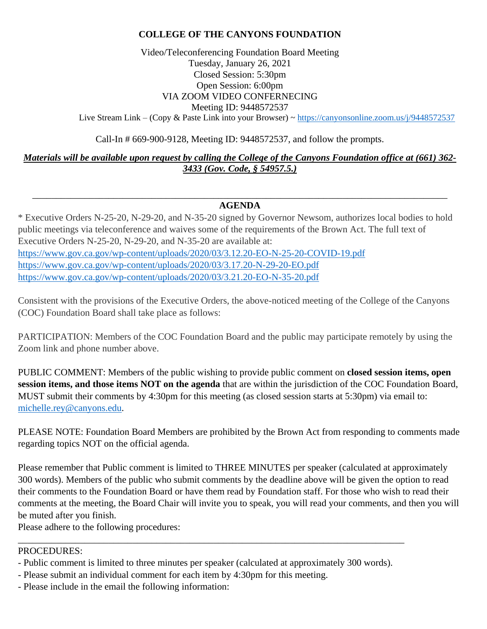# **COLLEGE OF THE CANYONS FOUNDATION**

Video/Teleconferencing Foundation Board Meeting Tuesday, January 26, 2021 Closed Session: 5:30pm Open Session: 6:00pm VIA ZOOM VIDEO CONFERNECING Meeting ID: 9448572537

Live Stream Link – (Copy & Paste Link into your Browser) ~ <https://canyonsonline.zoom.us/j/9448572537>

Call-In # 669-900-9128, Meeting ID: 9448572537, and follow the prompts.

*Materials will be available upon request by calling the College of the Canyons Foundation office at (661) 362- 3433 (Gov. Code, § 54957.5.)*

#### \_\_\_\_\_\_\_\_\_\_\_\_\_\_\_\_\_\_\_\_\_\_\_\_\_\_\_\_\_\_\_\_\_\_\_\_\_\_\_\_\_\_\_\_\_\_\_\_\_\_\_\_\_\_\_\_\_\_\_\_\_\_\_\_\_\_\_\_\_\_\_\_\_\_\_\_\_\_\_\_\_\_\_\_\_\_\_ **AGENDA**

\* Executive Orders N-25-20, N-29-20, and N-35-20 signed by Governor Newsom, authorizes local bodies to hold public meetings via teleconference and waives some of the requirements of the Brown Act. The full text of Executive Orders N-25-20, N-29-20, and N-35-20 are available at: <https://www.gov.ca.gov/wp-content/uploads/2020/03/3.12.20-EO-N-25-20-COVID-19.pdf> <https://www.gov.ca.gov/wp-content/uploads/2020/03/3.17.20-N-29-20-EO.pdf> <https://www.gov.ca.gov/wp-content/uploads/2020/03/3.21.20-EO-N-35-20.pdf>

Consistent with the provisions of the Executive Orders, the above-noticed meeting of the College of the Canyons (COC) Foundation Board shall take place as follows:

PARTICIPATION: Members of the COC Foundation Board and the public may participate remotely by using the Zoom link and phone number above.

PUBLIC COMMENT: Members of the public wishing to provide public comment on **closed session items, open session items, and those items NOT on the agenda** that are within the jurisdiction of the COC Foundation Board, MUST submit their comments by 4:30pm for this meeting (as closed session starts at 5:30pm) via email to: [michelle.rey@canyons.edu.](mailto:michelle.rey@canyons.edu)

PLEASE NOTE: Foundation Board Members are prohibited by the Brown Act from responding to comments made regarding topics NOT on the official agenda.

Please remember that Public comment is limited to THREE MINUTES per speaker (calculated at approximately 300 words). Members of the public who submit comments by the deadline above will be given the option to read their comments to the Foundation Board or have them read by Foundation staff. For those who wish to read their comments at the meeting, the Board Chair will invite you to speak, you will read your comments, and then you will be muted after you finish.

Please adhere to the following procedures:

## PROCEDURES:

- Public comment is limited to three minutes per speaker (calculated at approximately 300 words).

\_\_\_\_\_\_\_\_\_\_\_\_\_\_\_\_\_\_\_\_\_\_\_\_\_\_\_\_\_\_\_\_\_\_\_\_\_\_\_\_\_\_\_\_\_\_\_\_\_\_\_\_\_\_\_\_\_\_\_\_\_\_\_\_\_\_\_\_\_\_\_\_\_\_\_\_\_\_\_\_\_

- Please submit an individual comment for each item by 4:30pm for this meeting.
- Please include in the email the following information: